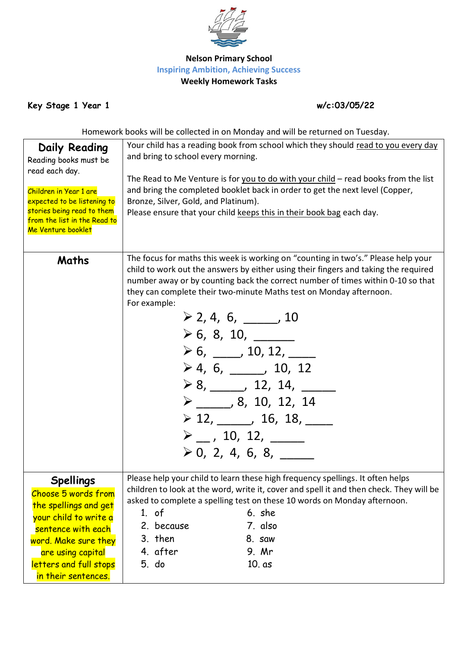

## **Nelson Primary School Inspiring Ambition, Achieving Success Weekly Homework Tasks**

**Key Stage 1 Year 1 w/c:03/05/22**

Homework books will be collected in on Monday and will be returned on Tuesday.

| Daily Reading<br>Reading books must be                                                                                                                      | Your child has a reading book from school which they should read to you every day<br>and bring to school every morning.<br>The Read to Me Venture is for you to do with your child - read books from the list<br>and bring the completed booklet back in order to get the next level (Copper,<br>Bronze, Silver, Gold, and Platinum).<br>Please ensure that your child keeps this in their book bag each day.                                                                                                                                                                                                                                                                                                                     |  |  |
|-------------------------------------------------------------------------------------------------------------------------------------------------------------|-----------------------------------------------------------------------------------------------------------------------------------------------------------------------------------------------------------------------------------------------------------------------------------------------------------------------------------------------------------------------------------------------------------------------------------------------------------------------------------------------------------------------------------------------------------------------------------------------------------------------------------------------------------------------------------------------------------------------------------|--|--|
| read each day.<br>Children in Year 1 are<br>expected to be listening to<br>stories being read to them<br>from the list in the Read to<br>Me Venture booklet |                                                                                                                                                                                                                                                                                                                                                                                                                                                                                                                                                                                                                                                                                                                                   |  |  |
| Maths                                                                                                                                                       | The focus for maths this week is working on "counting in two's." Please help your<br>child to work out the answers by either using their fingers and taking the required<br>number away or by counting back the correct number of times within 0-10 so that<br>they can complete their two-minute Maths test on Monday afternoon.<br>For example:<br>$\geq 2, 4, 6, \underline{\qquad}$ , 10<br>$\ge 6, 8, 10,$<br>$\geq 6, \underline{\hspace{1cm}} 10, 12, \underline{\hspace{1cm}}$<br>$\geq 4, 6, \underline{\qquad}$ , 10, 12<br>$\ge 8,$ 12, 14, 14<br>$\triangleright$ ______, 8, 10, 12, 14<br>$\geq 12, \underline{\qquad}$ , 16, 18, $\underline{\qquad}$<br>$\triangleright$ _ , 10, 12, ____<br>$\geq 0, 2, 4, 6, 8,$ |  |  |
| <b>Spellings</b><br>Choose 5 words from                                                                                                                     | Please help your child to learn these high frequency spellings. It often helps<br>children to look at the word, write it, cover and spell it and then check. They will be<br>asked to complete a spelling test on these 10 words on Monday afternoon.                                                                                                                                                                                                                                                                                                                                                                                                                                                                             |  |  |
| the spellings and get                                                                                                                                       | 6. she<br>$1.$ of                                                                                                                                                                                                                                                                                                                                                                                                                                                                                                                                                                                                                                                                                                                 |  |  |
| your child to write a<br>sentence with each                                                                                                                 | 7. also<br>2. because                                                                                                                                                                                                                                                                                                                                                                                                                                                                                                                                                                                                                                                                                                             |  |  |
| word. Make sure they                                                                                                                                        | 3. then<br>8. saw                                                                                                                                                                                                                                                                                                                                                                                                                                                                                                                                                                                                                                                                                                                 |  |  |
| are using capital                                                                                                                                           | 4. after<br>9. Mr                                                                                                                                                                                                                                                                                                                                                                                                                                                                                                                                                                                                                                                                                                                 |  |  |
| letters and full stops                                                                                                                                      | 5. do<br>$10. as$                                                                                                                                                                                                                                                                                                                                                                                                                                                                                                                                                                                                                                                                                                                 |  |  |
| in their sentences.                                                                                                                                         |                                                                                                                                                                                                                                                                                                                                                                                                                                                                                                                                                                                                                                                                                                                                   |  |  |